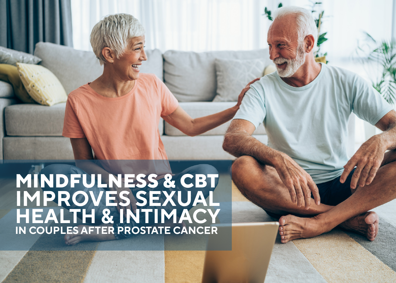## **MINDFULNESS & CBT IMPROVES SEXUAL HEALTH & INTIMACY IN COUPLES AFTER PROSTATE CANCER**